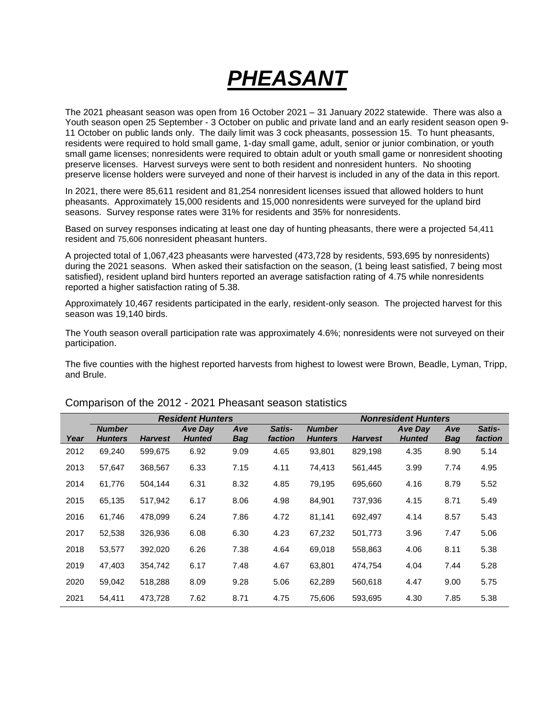# *PHEASANT*

The 2021 pheasant season was open from 16 October 2021 – 31 January 2022 statewide. There was also a Youth season open 25 September - 3 October on public and private land and an early resident season open 9-11 October on public lands only. The daily limit was 3 cock pheasants, possession 15. To hunt pheasants, residents were required to hold small game, 1-day small game, adult, senior or junior combination, or youth small game licenses; nonresidents were required to obtain adult or youth small game or nonresident shooting preserve licenses. Harvest surveys were sent to both resident and nonresident hunters. No shooting preserve license holders were surveyed and none of their harvest is included in any of the data in this report.

In 2021, there were 85,611 resident and 81,254 nonresident licenses issued that allowed holders to hunt pheasants. Approximately 15,000 residents and 15,000 nonresidents were surveyed for the upland bird seasons. Survey response rates were 31% for residents and 35% for nonresidents.

Based on survey responses indicating at least one day of hunting pheasants, there were a projected 54,411 resident and 75,606 nonresident pheasant hunters.

A projected total of 1,067,423 pheasants were harvested (473,728 by residents, 593,695 by nonresidents) during the 2021 seasons. When asked their satisfaction on the season, (1 being least satisfied, 7 being most satisfied), resident upland bird hunters reported an average satisfaction rating of 4.75 while nonresidents reported a higher satisfaction rating of 5.38.

Approximately 10,467 residents participated in the early, resident-only season. The projected harvest for this season was 19,140 birds.

The Youth season overall participation rate was approximately 4.6%; nonresidents were not surveyed on their participation.

The five counties with the highest reported harvests from highest to lowest were Brown, Beadle, Lyman, Tripp, and Brule.

|      |                                 |                | <b>Resident Hunters</b>         |                   | <b>Nonresident Hunters</b> |                                 |                |                                 |            |                   |
|------|---------------------------------|----------------|---------------------------------|-------------------|----------------------------|---------------------------------|----------------|---------------------------------|------------|-------------------|
| Year | <b>Number</b><br><b>Hunters</b> | <b>Harvest</b> | <b>Ave Day</b><br><b>Hunted</b> | Ave<br><b>Bag</b> | <b>Satis-</b><br>faction   | <b>Number</b><br><b>Hunters</b> | <b>Harvest</b> | <b>Ave Day</b><br><b>Hunted</b> | Ave<br>Bag | Satis-<br>faction |
| 2012 | 69,240                          | 599,675        | 6.92                            | 9.09              | 4.65                       | 93,801                          | 829,198        | 4.35                            | 8.90       | 5.14              |
| 2013 | 57,647                          | 368,567        | 6.33                            | 7.15              | 4.11                       | 74,413                          | 561,445        | 3.99                            | 7.74       | 4.95              |
| 2014 | 61,776                          | 504,144        | 6.31                            | 8.32              | 4.85                       | 79,195                          | 695,660        | 4.16                            | 8.79       | 5.52              |
| 2015 | 65,135                          | 517,942        | 6.17                            | 8.06              | 4.98                       | 84,901                          | 737,936        | 4.15                            | 8.71       | 5.49              |
| 2016 | 61,746                          | 478,099        | 6.24                            | 7.86              | 4.72                       | 81,141                          | 692,497        | 4.14                            | 8.57       | 5.43              |
| 2017 | 52,538                          | 326,936        | 6.08                            | 6.30              | 4.23                       | 67,232                          | 501,773        | 3.96                            | 7.47       | 5.06              |
| 2018 | 53,577                          | 392,020        | 6.26                            | 7.38              | 4.64                       | 69,018                          | 558,863        | 4.06                            | 8.11       | 5.38              |
| 2019 | 47,403                          | 354,742        | 6.17                            | 7.48              | 4.67                       | 63,801                          | 474,754        | 4.04                            | 7.44       | 5.28              |
| 2020 | 59,042                          | 518,288        | 8.09                            | 9.28              | 5.06                       | 62,289                          | 560,618        | 4.47                            | 9.00       | 5.75              |
| 2021 | 54,411                          | 473,728        | 7.62                            | 8.71              | 4.75                       | 75,606                          | 593,695        | 4.30                            | 7.85       | 5.38              |

#### Comparison of the 2012 - 2021 Pheasant season statistics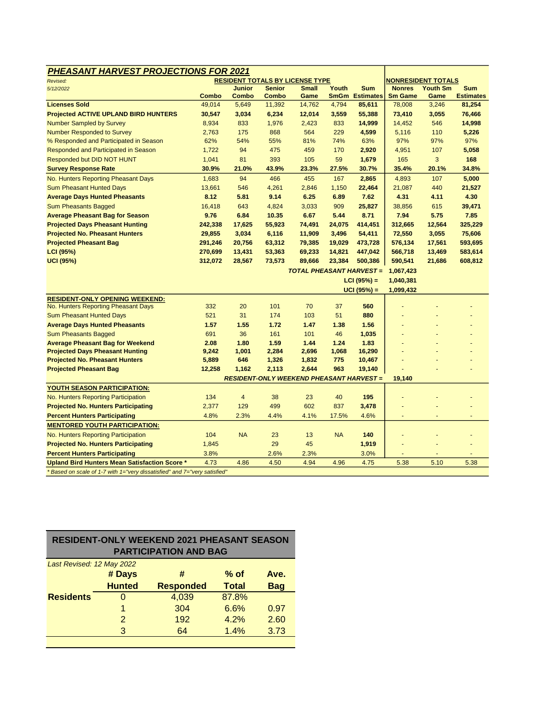|               |                                                |                                                          | <b>RESIDENT TOTALS BY LICENSE TYPE</b>    |                                           |                                                   |                                                                                                                                                                      | NONRESIDENT TOTALS                                       |                  |
|---------------|------------------------------------------------|----------------------------------------------------------|-------------------------------------------|-------------------------------------------|---------------------------------------------------|----------------------------------------------------------------------------------------------------------------------------------------------------------------------|----------------------------------------------------------|------------------|
|               | Junior                                         | <b>Senior</b>                                            | <b>Small</b>                              | Youth                                     | <b>Sum</b>                                        | <b>Nonres</b>                                                                                                                                                        | <b>Youth Sm</b>                                          | <b>Sum</b>       |
| <b>Combo</b>  | <b>Combo</b>                                   | <b>Combo</b>                                             | Game                                      | <b>SmGm</b>                               | <b>Estimates</b>                                  | <b>Sm Game</b>                                                                                                                                                       | Game                                                     | <b>Estimates</b> |
| 49,014        | 5,649                                          | 11,392                                                   | 14,762                                    | 4,794                                     | 85,611                                            | 78,008                                                                                                                                                               | 3,246                                                    | 81,254           |
| 30,547        | 3,034                                          | 6,234                                                    | 12,014                                    | 3,559                                     | 55,388                                            | 73,410                                                                                                                                                               | 3,055                                                    | 76,466           |
| 8,934         | 833                                            | 1,976                                                    | 2,423                                     | 833                                       | 14,999                                            | 14,452                                                                                                                                                               | 546                                                      | 14,998           |
| 2,763         | 175                                            | 868                                                      | 564                                       | 229                                       | 4,599                                             | 5,116                                                                                                                                                                | 110                                                      | 5,226            |
| 62%           | 54%                                            | 55%                                                      | 81%                                       | 74%                                       | 63%                                               | 97%                                                                                                                                                                  | 97%                                                      | 97%              |
| 1,722         | 94                                             | 475                                                      | 459                                       | 170                                       | 2,920                                             | 4,951                                                                                                                                                                | 107                                                      | 5,058            |
| 1,041         | 81                                             | 393                                                      | 105                                       | 59                                        | 1,679                                             | 165                                                                                                                                                                  | 3                                                        | 168              |
| 30.9%         | 21.0%                                          | 43.9%                                                    | 23.3%                                     | 27.5%                                     | 30.7%                                             | 35.4%                                                                                                                                                                | 20.1%                                                    | 34.8%            |
| 1,683         | 94                                             | 466                                                      | 455                                       | 167                                       | 2,865                                             | 4,893                                                                                                                                                                | 107                                                      | 5,000            |
| 13,661        | 546                                            | 4,261                                                    | 2,846                                     | 1,150                                     | 22,464                                            | 21,087                                                                                                                                                               | 440                                                      | 21,527           |
| 8.12          | 5.81                                           | 9.14                                                     | 6.25                                      | 6.89                                      | 7.62                                              | 4.31                                                                                                                                                                 | 4.11                                                     | 4.30             |
| 16,418        | 643                                            | 4,824                                                    | 3,033                                     | 909                                       | 25,827                                            | 38,856                                                                                                                                                               | 615                                                      | 39,471           |
| 9.76          | 6.84                                           | 10.35                                                    | 6.67                                      | 5.44                                      | 8.71                                              | 7.94                                                                                                                                                                 | 5.75                                                     | 7.85             |
| 242,338       | 17,625                                         | 55,923                                                   | 74,491                                    | 24,075                                    | 414,451                                           | 312,665                                                                                                                                                              | 12,564                                                   | 325,229          |
| 29,855        | 3,034                                          | 6,116                                                    | 11,909                                    | 3,496                                     | 54,411                                            | 72,550                                                                                                                                                               | 3,055                                                    | 75,606           |
| 291,246       | 20,756                                         | 63,312                                                   | 79,385                                    | 19,029                                    | 473,728                                           | 576,134                                                                                                                                                              | 17,561                                                   | 593,695          |
| 270,699       | 13,431                                         | 53,363                                                   | 69,233                                    | 14,821                                    | 447,042                                           | 566,718                                                                                                                                                              | 13,469                                                   | 583,614          |
|               |                                                |                                                          |                                           |                                           | 500,386                                           |                                                                                                                                                                      |                                                          | 608,812          |
|               |                                                |                                                          |                                           |                                           |                                                   |                                                                                                                                                                      |                                                          |                  |
|               |                                                |                                                          |                                           |                                           |                                                   |                                                                                                                                                                      |                                                          |                  |
|               |                                                |                                                          |                                           |                                           |                                                   |                                                                                                                                                                      |                                                          |                  |
|               |                                                |                                                          |                                           |                                           |                                                   |                                                                                                                                                                      |                                                          |                  |
| 332           | 20                                             | 101                                                      | 70                                        | 37                                        | 560                                               |                                                                                                                                                                      |                                                          |                  |
| 521           | 31                                             | 174                                                      | 103                                       | 51                                        | 880                                               |                                                                                                                                                                      |                                                          |                  |
| 1.57          | 1.55                                           | 1.72                                                     | 1.47                                      | 1.38                                      | 1.56                                              |                                                                                                                                                                      |                                                          |                  |
| 691           | 36                                             | 161                                                      | 101                                       | 46                                        |                                                   |                                                                                                                                                                      |                                                          |                  |
|               |                                                |                                                          |                                           |                                           |                                                   |                                                                                                                                                                      |                                                          |                  |
| 9,242         | 1,001                                          | 2,284                                                    | 2,696                                     | 1,068                                     | 16,290                                            |                                                                                                                                                                      |                                                          |                  |
| 5,889         | 646                                            | 1,326                                                    | 1,832                                     | 775                                       | 10,467                                            |                                                                                                                                                                      |                                                          |                  |
| 12,258        |                                                | 2,113                                                    | 2,644                                     | 963                                       | 19,140                                            |                                                                                                                                                                      |                                                          |                  |
|               |                                                |                                                          |                                           |                                           |                                                   |                                                                                                                                                                      |                                                          |                  |
|               |                                                |                                                          |                                           |                                           |                                                   |                                                                                                                                                                      |                                                          |                  |
|               |                                                |                                                          |                                           |                                           |                                                   |                                                                                                                                                                      |                                                          |                  |
|               |                                                |                                                          |                                           |                                           |                                                   |                                                                                                                                                                      |                                                          |                  |
|               |                                                |                                                          |                                           |                                           |                                                   |                                                                                                                                                                      |                                                          |                  |
|               |                                                |                                                          |                                           |                                           |                                                   |                                                                                                                                                                      |                                                          |                  |
|               |                                                |                                                          |                                           |                                           |                                                   |                                                                                                                                                                      |                                                          |                  |
|               |                                                | 29                                                       | 45                                        |                                           | 1,919                                             |                                                                                                                                                                      |                                                          |                  |
|               |                                                |                                                          |                                           |                                           |                                                   |                                                                                                                                                                      |                                                          |                  |
| 1,845<br>3.8% |                                                | 2.6%                                                     | 2.3%                                      |                                           | 3.0%                                              |                                                                                                                                                                      |                                                          |                  |
|               | 312,072<br>2.08<br>134<br>2,377<br>4.8%<br>104 | 28,567<br>1.80<br>1,162<br>4<br>129<br>2.3%<br><b>NA</b> | 73,573<br>1.59<br>38<br>499<br>4.4%<br>23 | 89,666<br>1.44<br>23<br>602<br>4.1%<br>13 | 23,384<br>1.24<br>40<br>837<br>17.5%<br><b>NA</b> | <b>TOTAL PHEASANT HARVEST =</b><br>$LCI (95%) =$<br>$UCI (95%) =$<br>1,035<br>1.83<br><b>RESIDENT-ONLY WEEKEND PHEASANT HARVEST =</b><br>195<br>3,478<br>4.6%<br>140 | 590,541<br>1,067,423<br>1,040,381<br>1,099,432<br>19,140 | 21,686           |

| <b>RESIDENT-ONLY WEEKEND 2021 PHEASANT SEASON</b><br><b>PARTICIPATION AND BAG</b> |                |                  |              |            |  |  |  |  |  |  |
|-----------------------------------------------------------------------------------|----------------|------------------|--------------|------------|--|--|--|--|--|--|
| Last Revised: 12 May 2022                                                         |                |                  |              |            |  |  |  |  |  |  |
|                                                                                   | # Days         | #                | $%$ of       | Ave.       |  |  |  |  |  |  |
|                                                                                   | <b>Hunted</b>  | <b>Responded</b> | <b>Total</b> | <b>Bag</b> |  |  |  |  |  |  |
| <b>Residents</b>                                                                  | O              | 4,039            | 87.8%        |            |  |  |  |  |  |  |
|                                                                                   | 1              | 304              | 6.6%         | 0.97       |  |  |  |  |  |  |
|                                                                                   | $\overline{2}$ | 192              | 4.2%         | 2.60       |  |  |  |  |  |  |
|                                                                                   | 3              | 64               | 1.4%         | 3.73       |  |  |  |  |  |  |
|                                                                                   |                |                  |              |            |  |  |  |  |  |  |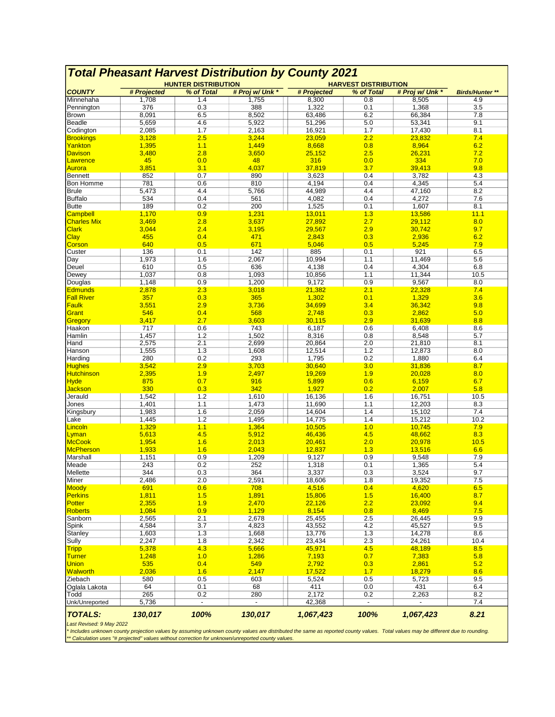|                                            |              | <b>HUNTER DISTRIBUTION</b> |                 | <b>HARVEST DISTRIBUTION</b> |            |                 |                        |
|--------------------------------------------|--------------|----------------------------|-----------------|-----------------------------|------------|-----------------|------------------------|
| <b>COUNTY</b>                              | # Projected  | % of Total                 | # Proj w/ Unk * | # Projected                 | % of Total | # Proj w/ Unk * | <b>Birds/Hunter **</b> |
| Minnehaha                                  | 1,708        | 1.4                        | 1,755           | 8,300                       | 0.8        | 8,505           | 4.9                    |
| Pennington                                 | 376          | 0.3                        | 388             | 1,322                       | 0.1        | 1,368           | 3.5                    |
| <b>Brown</b>                               | 8,091        | 6.5                        | 8,502           | 63,486                      | 6.2        | 66,384          | 7.8                    |
| <b>Beadle</b>                              | 5,659        | 4.6                        | 5,922           | 51,296                      | 5.0        | 53,341          | 9.1                    |
| Codington                                  | 2,085        | 1.7                        | 2,163           | 16,921                      | 1.7        | 17,430          | 8.1                    |
| <b>Brookings</b>                           | 3,128        | 2.5                        | 3,244           | 23,059                      | 2.2        | 23,832          | 7.4                    |
| Yankton                                    | 1,395        | 1.1                        | 1,449           | 8,668                       | 0.8        | 8,964           | 6.2                    |
| <b>Davison</b>                             | 3,480        | 2.8                        | 3,650           | 25,152                      | 2.5        | 26,231          | 7.2                    |
| Lawrence                                   | 45           | 0.0                        | 48              | 316                         | 0.0        | 334             | 7.0                    |
| Aurora                                     | 3,851        | 3.1                        | 4,037           | 37,819                      | 3.7        | 39,413          | 9.8                    |
| Bennett                                    | 852          | 0.7                        | 890             | 3,623                       | 0.4        | 3,782           | 4.3                    |
| <b>Bon Homme</b>                           | 781          | 0.6                        | 810             | 4,194                       | 0.4        | 4,345           | 5.4                    |
| <b>Brule</b>                               | 5,473        | 4.4                        | 5,766           | 44,989                      | 4.4        | 47,160          | 8.2                    |
| <b>Buffalo</b>                             | 534          | 0.4                        | 561             | 4,082                       | 0.4        | 4,272           | 7.6                    |
| <b>Butte</b>                               | 189          | 0.2                        | 200             | 1,525                       | 0.1        | 1,607           | 8.1                    |
| <b>Campbell</b>                            | 1,170        | 0.9                        | 1,231           | 13,011                      | 1.3        | 13,586          | 11.1                   |
| <b>Charles Mix</b>                         | 3,469        | 2.8                        | 3,637           | 27,892                      | 2.7        | 29,112          | 8.0                    |
| <b>Clark</b>                               | 3,044        | 2.4                        | 3,195           | 29,567                      | 2.9        | 30,742          | 9.7                    |
| Clay                                       | 455          | 0.4                        | 471             | 2,843                       | 0.3        | 2,936           | 6.2                    |
| Corson                                     | 640          | 0.5                        | 671             | 5,046                       | 0.5        | 5,245           | 7.9                    |
| Custer                                     | 136          | 0.1                        | 142             | 885                         | 0.1        | 921             | 6.5                    |
| Day                                        | 1,973        | 1.6                        | 2,067           | 10,994                      | 1.1        | 11,469          | 5.6                    |
| Deuel                                      | 610          | 0.5                        | 636             | 4,138                       | 0.4        | 4,304           | 6.8                    |
| Dewey                                      | 1,037        | 0.8                        | 1,093           | 10,856                      | 1.1        | 11,344          | 10.5                   |
| Douglas                                    | 1,148        | 0.9                        | 1,200           | 9,172                       | 0.9        | 9,567           | 8.0                    |
| <b>Edmunds</b>                             | 2,878        | 2.3                        | 3,018           | 21,382                      | 2.1        | 22,328          | 7.4                    |
| <b>Fall River</b>                          | 357          | 0.3                        | 365             | 1,302                       | 0.1        | 1,329           | 3.6                    |
| Faulk                                      | 3,551        | 2.9                        | 3,736           | 34,699                      | 3.4        | 36,342          | 9.8                    |
| Grant                                      | 546          | 0.4                        | 568             | 2,748                       | 0.3        | 2,862           | 5.0                    |
| Gregory                                    | 3,417        | 2.7                        | 3,603           | 30,115                      | 2.9        | 31,639          | 8.8                    |
| Haakon<br>Hamlin                           | 717<br>1,457 | 0.6<br>1.2                 | 743<br>1,502    | 6,187<br>8,316              | 0.6        | 6,408           | 8.6                    |
|                                            | 2,575        | 2.1                        | 2,699           | 20,864                      | 0.8<br>2.0 | 8,548<br>21,810 | 5.7<br>8.1             |
| Hand<br>Hanson                             | 1,555        | 1.3                        | 1,608           | 12,514                      | 1.2        | 12,873          | 8.0                    |
| Harding                                    | 280          | 0.2                        | 293             | 1,795                       | 0.2        | 1,880           | 6.4                    |
| <b>Hughes</b>                              | 3,542        | 2.9                        | 3,703           | 30,640                      | 3.0        | 31,836          | 8.7                    |
| <b>Hutchinson</b>                          | 2,395        | 1.9                        | 2,497           | 19,269                      | 1.9        | 20,028          | 8.0                    |
| Hyde                                       | 875          | 0.7                        | 916             | 5,899                       | 0.6        | 6,159           | 6.7                    |
| Jackson                                    | 330          | 0.3                        | 342             | 1,927                       | 0.2        | 2,007           | 5.8                    |
| Jerauld                                    | 1,542        | 1.2                        | 1,610           | 16,136                      | 1.6        | 16,751          | 10.5                   |
| Jones                                      | 1,401        | 1.1                        | 1,473           | 11,690                      | 1.1        | 12,203          | 8.3                    |
| Kingsbury                                  | 1,983        | 1.6                        | 2,059           | 14,604                      | 1.4        | 15,102          | 7.4                    |
| Lake                                       | 1,445        | 1.2                        | 1,495           | 14,775                      | 1.4        | 15,212          | 10.2                   |
| Lincoln                                    | 1,329        | 1.1                        | 1,364           | 10,505                      | 1.0        | 10,745          | 7.9                    |
| Lyman                                      | 5,613        | 4.5                        | 5,912           | 46,436                      | 4.5        | 48,662          | 8.3                    |
| McCook                                     | 1,954        | 1.6                        | 2,013           | 20,461                      | 2.0        | 20,978          | 10.5                   |
| McPherson                                  | 1,933        | 1.6                        | 2,043           | 12,837                      | 1.3        | 13,516          | 6.6                    |
| Marshall                                   | 1,151        | 0.9                        | 1,209           | 9,127                       | 0.9        | 9,548           | 7.9                    |
| Meade                                      | 243          | 0.2                        | 252             | 1,318                       | 0.1        | 1,365           | 5.4                    |
| Mellette                                   | 344          | 0.3                        | 364             | 3,337                       | 0.3        | 3,524           | 9.7                    |
| Miner                                      | 2,486        | 2.0                        | 2,591           | 18,606                      | 1.8        | 19,352          | 7.5                    |
| Moody                                      | 691          | 0.6                        | 708             | 4,516                       | 0.4        | 4,620           | 6.5                    |
| Perkins                                    | 1,811        | 1.5                        | 1,891           | 15,806                      | 1.5        | 16,400          | 8.7                    |
| Potter                                     | 2,355        | 1.9                        | 2,470           | 22,126                      | 2.2        | 23,092          | 9.4                    |
| Roberts                                    | 1,084        | 0.9                        | 1,129           | 8,154                       | 0.8        | 8,469           | 7.5                    |
| Sanborn                                    | 2,565        | 2.1                        | 2,678           | 25,455                      | 2.5        | 26,445          | 9.9                    |
| Spink                                      | 4,584        | 3.7                        | 4,823           | 43,552                      | 4.2        | 45,527          | 9.5                    |
| Stanley                                    | 1,603        | 1.3                        | 1,668           | 13,776                      | 1.3        | 14,278          | 8.6                    |
| Sully                                      | 2,247        | 1.8                        | 2,342           | 23,434                      | 2.3        | 24,261          | 10.4                   |
| <b>Tripp</b>                               | 5,378        | 4.3                        | 5,666           | 45,971                      | 4.5        | 48,189          | 8.5                    |
| <b>Turner</b>                              | 1,248        | 1.0                        | 1,286           | 7,193                       | 0.7        | 7,383           | 5.8                    |
| <b>Union</b>                               | 535          | 0.4                        | 549             | 2,792                       | 0.3        | 2,861           | 5.2                    |
| Walworth                                   | 2,036        | 1.6                        | 2,147           | 17,522                      | 1.7        | 18,279          | 8.6                    |
| Ziebach                                    | 580          | 0.5                        | 603             | 5,524                       | 0.5        | 5,723           | 9.5                    |
| Oglala Lakota                              | 64           | 0.1                        | 68              | 411                         | 0.0        | 431             | 6.4                    |
| Todd                                       | 265          | 0.2                        | 280             | 2,172                       | 0.2        | 2,263           | 8.2                    |
| Unk/Unreported                             | 5,736        | $\blacksquare$             |                 | 42,368                      |            |                 | 7.4                    |
|                                            |              |                            |                 |                             |            |                 |                        |
| <b>TOTALS:</b><br>Last Revised: 9 May 2022 | 130,017      | 100%                       | 130,017         | 1,067,423                   | 100%       | 1,067,423       | 8.21                   |

## *Total Pheasant Harvest Distribution by County 2021*

Last Revised: 9 May 2022<br>\* Includes unknown county projection values by assuming unknown county values are distributed the same as reported county values. Total values may be different due to rounding.<br>\*\* Calculation uses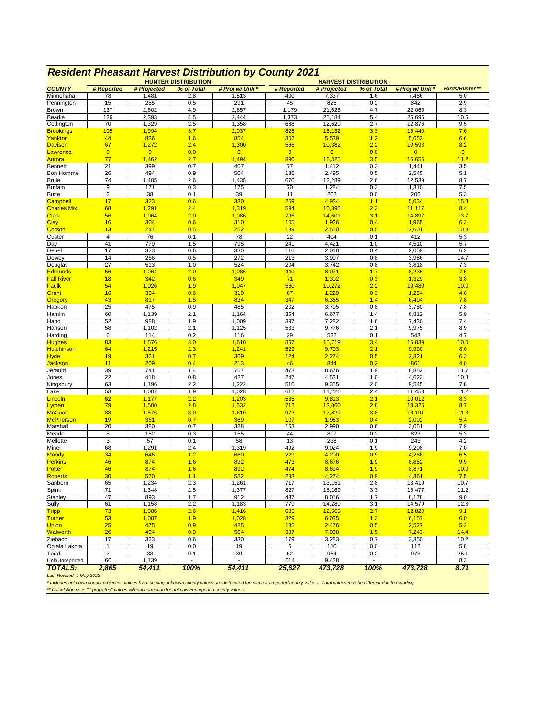| <b>Resident Pheasant Harvest Distribution by County 2021</b><br><b>HUNTER DISTRIBUTION</b><br><b>HARVEST DISTRIBUTION</b> |                |                |            |                          |                |                 |                          |                 |                         |  |
|---------------------------------------------------------------------------------------------------------------------------|----------------|----------------|------------|--------------------------|----------------|-----------------|--------------------------|-----------------|-------------------------|--|
| <b>COUNTY</b>                                                                                                             | # Reported     | # Projected    | % of Total | # Proj w/ Unk *          | # Reported     | # Projected     | % of Total               | # Proj w/ Unk * | <b>Birds/Hunter **</b>  |  |
| Minnehaha                                                                                                                 | 78             | 1,481          | 2.8        | 1,513                    | 400            | 7,337           | 1.6                      | 7,486           | 5.0                     |  |
| Pennington                                                                                                                | 15             | 285            | 0.5        | 291                      | 45             | 825             | 0.2                      | 842             | 2.9                     |  |
| Brown                                                                                                                     | 137            | 2,602          | 4.9        | 2,657                    | 1,179          | 21,626          | 4.7                      | 22,065          | 8.3                     |  |
| Beadle                                                                                                                    | 126            | 2,393          | 4.5        | 2,444                    | 1,373          | 25,184          | 5.4                      | 25,695          | 10.5                    |  |
| Codington                                                                                                                 | 70             | 1,329          | 2.5        | 1,358                    | 688            | 12,620          | 2.7                      | 12,876          | 9.5                     |  |
| <b>Brookings</b>                                                                                                          | 105            | 1,994          | 3.7        | 2,037                    | 825            | 15,132          | 3.3                      | 15,440          | 7.6                     |  |
| Yankton                                                                                                                   | 44             | 836            | 1.6        | 854                      | 302            | 5,539           | 1.2                      | 5,652           | 6.6                     |  |
| <b>Davison</b>                                                                                                            | 67             | 1,272          | 2.4        | 1,300                    | 566            | 10,382          | 2.2                      | 10,593          | 8.2                     |  |
| Lawrence                                                                                                                  | $\overline{0}$ | $\overline{0}$ | 0.0        | $\overline{0}$           | $\overline{0}$ | $\overline{0}$  | 0.0                      | $\overline{0}$  | $\overline{\mathbf{0}}$ |  |
| Aurora                                                                                                                    | 77             | 1,462          | 2.7        | 1,494                    | 890            | 16,325          | 3.5                      | 16,656          | 11.2                    |  |
| <b>Bennett</b>                                                                                                            | 21             | 399<br>494     | 0.7        | 407<br>504               | 77<br>136      | 1,412           | 0.3                      | 1,441           | 3.5                     |  |
| <b>Bon Homme</b><br><b>Brule</b>                                                                                          | 26<br>74       | 1,405          | 0.9<br>2.6 | 1,435                    | 670            | 2,495<br>12,289 | 0.5<br>2.6               | 2,545<br>12,539 | 5.1<br>8.7              |  |
| <b>Buffalo</b>                                                                                                            | 9              | 171            | 0.3        | 175                      | 70             | 1,284           | 0.3                      | 1,310           | 7.5                     |  |
| <b>Butte</b>                                                                                                              | $\sqrt{2}$     | 38             | 0.1        | 39                       | 11             | 202             | 0.0                      | 206             | 5.3                     |  |
| <b>Campbell</b>                                                                                                           | 17             | 323            | 0.6        | 330                      | 269            | 4,934           | 1.1                      | 5,034           | 15.3                    |  |
| <b>Charles Mix</b>                                                                                                        | 68             | 1,291          | 2.4        | 1,319                    | 594            | 10,895          | 2.3                      | 11,117          | 8.4                     |  |
| <b>Clark</b>                                                                                                              | 56             | 1,064          | 2.0        | 1,086                    | 796            | 14,601          | 3.1                      | 14,897          | 13.7                    |  |
| Clay                                                                                                                      | 16             | 304            | 0.6        | 310                      | 105            | 1,926           | 0.4                      | 1,965           | 6.3                     |  |
| Corson                                                                                                                    | 13             | 247            | 0.5        | 252                      | 139            | 2,550           | 0.5                      | 2,601           | 10.3                    |  |
| Custer                                                                                                                    | 4              | 76             | 0.1        | 78                       | 22             | 404             | 0.1                      | 412             | 5.3                     |  |
| Day                                                                                                                       | 41             | 779            | 1.5        | 795                      | 241            | 4,421           | 1.0                      | 4,510           | 5.7                     |  |
| Deuel                                                                                                                     | 17             | 323            | 0.6        | 330                      | 110            | 2,018           | 0.4                      | 2,059           | 6.2                     |  |
| Dewey                                                                                                                     | 14             | 266            | 0.5        | 272                      | 213            | 3,907           | 0.8                      | 3,986           | 14.7                    |  |
| Douglas                                                                                                                   | 27             | 513            | 1.0        | 524                      | 204            | 3,742           | 0.8                      | 3,818           | 7.3                     |  |
| <b>Edmunds</b>                                                                                                            | 56             | 1,064          | 2.0        | 1,086                    | 440            | 8,071           | 1.7                      | 8,235           | 7.6                     |  |
| <b>Fall River</b><br>Faulk                                                                                                | 18<br>54       | 342<br>1,026   | 0.6<br>1.9 | 349                      | 71<br>560      | 1,302<br>10,272 | 0.3<br>2.2               | 1,329           | 3.8<br>10.0             |  |
| Grant                                                                                                                     | 16             | 304            | 0.6        | 1,047<br>310             | 67             | 1,229           | 0.3                      | 10,480<br>1,254 | 4.0                     |  |
| Gregory                                                                                                                   | 43             | 817            | 1.5        | 834                      | 347            | 6,365           | 1.4                      | 6,494           | 7.8                     |  |
| Haakon                                                                                                                    | 25             | 475            | 0.9        | 485                      | 202            | 3,705           | 0.8                      | 3,780           | 7.8                     |  |
| Hamlin                                                                                                                    | 60             | 1,139          | 2.1        | 1,164                    | 364            | 6,677           | 1.4                      | 6,812           | 5.9                     |  |
| Hand                                                                                                                      | 52             | 988            | 1.9        | 1,009                    | 397            | 7,282           | 1.6                      | 7,430           | 7.4                     |  |
| Hanson                                                                                                                    | 58             | 1,102          | 2.1        | 1,125                    | 533            | 9,776           | 2.1                      | 9,975           | 8.9                     |  |
| Harding                                                                                                                   | 6              | 114            | 0.2        | 116                      | 29             | 532             | 0.1                      | 543             | 4.7                     |  |
| <b>Hughes</b>                                                                                                             | 83             | 1,576          | 3.0        | 1,610                    | 857            | 15,719          | 3.4                      | 16,039          | 10.0                    |  |
| <b>Hutchinson</b>                                                                                                         | 64             | 1,215          | 2.3        | 1,241                    | 529            | 9,703           | 2.1                      | 9,900           | 8.0                     |  |
| <b>Hyde</b>                                                                                                               | 19             | 361            | 0.7        | 369                      | 124            | 2,274           | 0.5                      | 2,321           | 6.3                     |  |
| <mark>Jackson</mark>                                                                                                      | 11             | 209            | 0.4        | 213                      | 46             | 844             | 0.2                      | 861             | 4.0                     |  |
| Jerauld                                                                                                                   | 39             | 741            | 1.4        | 757                      | 473            | 8,676           | 1.9                      | 8,852           | 11.7                    |  |
| Jones                                                                                                                     | 22             | 418            | 0.8        | 427                      | 247            | 4,531           | 1.0                      | 4,623           | 10.8                    |  |
| Kingsbury<br>Lake                                                                                                         | 63<br>53       | 1,196<br>1,007 | 2.2<br>1.9 | 1,222<br>1,028           | 510<br>612     | 9,355<br>11,226 | 2.0<br>2.4               | 9,545<br>11,453 | 7.8<br>11.2             |  |
| Lincoln                                                                                                                   | 62             | 1,177          | 2.2        | 1,203                    | 535            | 9,813           | 2.1                      | 10,012          | 8.3                     |  |
| <u>Lyman</u>                                                                                                              | 79             | 1,500          | 2.8        | 1,532                    | 712            | 13,060          | 2.8                      | 13,325          | 8.7                     |  |
| <b>McCook</b>                                                                                                             | 83             | 1,576          | 3.0        | 1,610                    | 972            | 17,829          | 3.8                      | 18,191          | 11.3                    |  |
| <b>McPherson</b>                                                                                                          | 19             | 361            | 0.7        | 369                      | 107            | 1,963           | 0.4                      | 2,002           | 5.4                     |  |
| Marshall                                                                                                                  | 20             | 380            | 0.7        | 388                      | 163            | 2,990           | 0.6                      | 3,051           | 7.9                     |  |
| Meade                                                                                                                     | 8              | 152            | 0.3        | 155                      | 44             | 807             | 0.2                      | 823             | 5.3                     |  |
| Mellette                                                                                                                  | 3              | 57             | 0.1        | 58                       | 13             | 238             | 0.1                      | 243             | 4.2                     |  |
| Miner                                                                                                                     | 68             | 1,291          | 2.4        | 1,319                    | 492            | 9,024           | 1.9                      | 9,208           | 7.0                     |  |
| Moody                                                                                                                     | 34             | 646            | 1.2        | 660                      | 229            | 4,200           | 0.9                      | 4,286           | 6.5                     |  |
| <b>Perkins</b>                                                                                                            | 46             | 874            | 1.6        | 892                      | 473            | 8,676           | 1.9                      | 8,852           | 9.9                     |  |
| <b>Potter</b>                                                                                                             | 46             | 874            | 1.6        | 892                      | 474            | 8,694           | 1.9                      | 8,871           | 10.0                    |  |
| Roberts                                                                                                                   | 30             | 570            | 1.1        | 582                      | 233            | 4,274           | 0.9                      | 4,361           | 7.5                     |  |
| Sanborn                                                                                                                   | 65             | 1,234          | 2.3        | 1,261                    | 717            | 13,151          | 2.8                      | 13,419          | 10.7                    |  |
| Spink                                                                                                                     | 71             | 1,348          | 2.5        | 1,377                    | 827            | 15,169          | 3.3                      | 15,477          | 11.2                    |  |
| Stanley                                                                                                                   | 47<br>61       | 893            | 1.7        | 912                      | 437            | 8,016<br>14,289 | 1.7                      | 8,178           | 9.0<br>12.3             |  |
| Sully                                                                                                                     | 73             | 1,158          | 2.2<br>2.6 | 1,183<br>1,416           | 779<br>685     |                 | 3.1<br>2.7               | 14,579          | 9.1                     |  |
| <b>Tripp</b><br>Turner                                                                                                    | 53             | 1,386<br>1,007 | 1.9        | 1,028                    | 329            | 12,565<br>6,035 | 1.3                      | 12,820<br>6,157 | 6.0                     |  |
| <b>Union</b>                                                                                                              | 25             | 475            | 0.9        | 485                      | <b>135</b>     | 2,476           | 0.5                      | 2,527           | 5.2                     |  |
| <b>Walworth</b>                                                                                                           | 26             | 494            | 0.9        | 504                      | 387            | 7,098           | 1.5                      | 7,243           | 14.4                    |  |
| Ziebach                                                                                                                   | 17             | 323            | 0.6        | 330                      | 179            | 3,283           | 0.7                      | 3,350           | 10.2                    |  |
| Oglala Lakota                                                                                                             | 1              | 19             | 0.0        | 19                       | 6              | 110             | 0.0                      | 112             | 5.8                     |  |
| Todd                                                                                                                      | $\sqrt{2}$     | 38             | 0.1        | 39                       | 52             | 954             | 0.2                      | 973             | 25.1                    |  |
| Unk/Unreported                                                                                                            | 60             | 1,139          | $\sim$     | $\overline{\phantom{a}}$ | 514            | 9,428           | $\overline{\phantom{a}}$ |                 | 8.3                     |  |
| <b>TOTALS:</b>                                                                                                            | 2,865          | 54,411         | 100%       | 54,411                   | 25,827         | 473,728         | 100%                     | 473,728         | 8.71                    |  |
| Last Revised: 9 May 2022                                                                                                  |                |                |            |                          |                |                 |                          |                 |                         |  |
|                                                                                                                           |                |                |            |                          |                |                 |                          |                 |                         |  |

#### *Resident Pheasant Harvest Distribution by County 2021*

\* Includes unknown county projection values by assuming unknown county values are distributed the same as reported county values. Total values may be different due to rounding.<br>\*\* Calculation uses "# projected" values with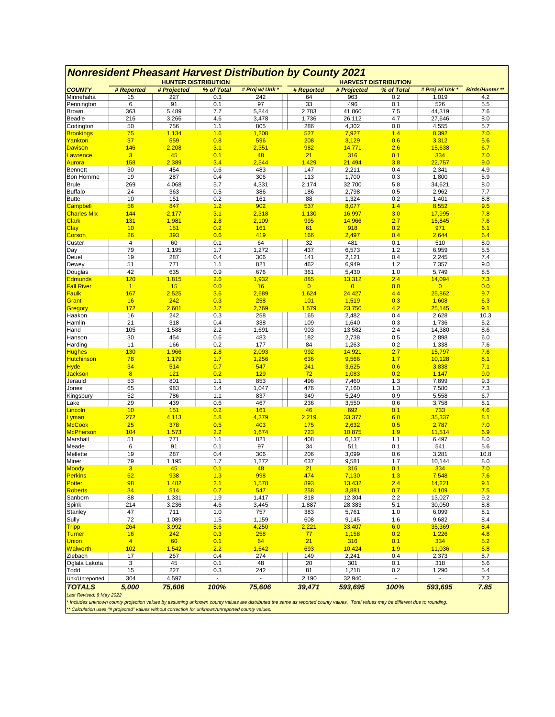|                            |                         |              | <b>HUNTER DISTRIBUTION</b> |                 |                       |                          |            |                          |                        |
|----------------------------|-------------------------|--------------|----------------------------|-----------------|-----------------------|--------------------------|------------|--------------------------|------------------------|
| <b>COUNTY</b>              | # Reported              | # Projected  | % of Total                 | # Proj w/ Unk * | # Reported            | # Projected              | % of Total | # Proj w/ Unk *          | <b>Birds/Hunter **</b> |
| Minnehaha                  | 15                      | 227          | 0.3                        | 242             | 64                    | 963                      | 0.2        | 1,019                    | 4.2                    |
| Pennington                 | 6                       | 91           | 0.1                        | 97              | 33                    | 496                      | 0.1        | 526                      | 5.5                    |
| Brown                      | 363                     | 5,489        | 7.7                        | 5,844           | 2,783                 | 41,860                   | 7.5        | 44,319                   | 7.6                    |
| Beadle                     | 216                     | 3,266        | 4.6                        | 3,478           | 1,736                 | 26,112                   | 4.7        | 27,646                   | 8.0                    |
| Codington                  | 50                      | 756          | 1.1                        | 805             | 286                   | 4,302                    | 0.8        | 4,555                    | 5.7                    |
| <b>Brookings</b>           | 75                      | 1,134        | 1.6                        | 1,208           | 527                   | 7,927                    | 1.4        | 8,392                    | 7.0                    |
| Yankton<br>Davison         | 37<br>146               | 559<br>2,208 | 0.8<br>3.1                 | 596<br>2,351    | 208<br>982            | 3,129<br>14,771          | 0.6<br>2.6 | 3,312<br>15,638          | 5.6<br>6.7             |
| Lawrence                   | $\overline{\mathbf{3}}$ | 45           | 0.1                        | 48              | 21                    | 316                      | 0.1        | 334                      | 7.0                    |
| Aurora                     | 158                     | 2,389        | 3.4                        | 2,544           | 1,429                 | 21,494                   | 3.8        | 22,757                   | 9.0                    |
| <b>Bennett</b>             | 30                      | 454          | 0.6                        | 483             | 147                   | 2,211                    | 0.4        | 2,341                    | 4.9                    |
| Bon Homme                  | 19                      | 287          | 0.4                        | 306             | 113                   | 1,700                    | 0.3        | 1,800                    | 5.9                    |
| <b>Brule</b>               | 269                     | 4,068        | 5.7                        | 4,331           | 2,174                 | 32,700                   | 5.8        | 34,621                   | 8.0                    |
| <b>Buffalo</b>             | 24                      | 363          | 0.5                        | 386             | 186                   | 2,798                    | 0.5        | 2,962                    | 7.7                    |
| <b>Butte</b>               | 10                      | 151          | 0.2                        | 161             | 88                    | 1,324                    | 0.2        | 1,401                    | 8.8                    |
| <b>Campbell</b>            | 56                      | 847          | 1.2                        | 902             | 537                   | 8,077                    | 1.4        | 8,552                    | 9.5                    |
| <b>Charles Mix</b>         | 144                     | 2,177        | 3.1                        | 2,318           | 1,130                 | 16,997                   | 3.0        | 17,995                   | 7.8                    |
| Clark                      | 131                     | 1,981        | 2.8                        | 2,109           | 995                   | 14,966                   | 2.7        | 15,845                   | 7.6                    |
| Clay                       | 10                      | 151          | 0.2                        | 161             | 61                    | 918                      | 0.2        | 971                      | 6.1                    |
| Corson                     | 26                      | 393          | 0.6                        | 419             | 166                   | 2,497                    | 0.4        | 2,644                    | 6.4                    |
| Custer                     | 4                       | 60           | 0.1                        | 64              | 32                    | 481                      | 0.1        | 510                      | 8.0                    |
| Day                        | 79                      | 1,195        | 1.7                        | 1,272           | 437                   | 6,573                    | 1.2        | 6,959                    | 5.5                    |
| Deuel                      | 19                      | 287          | 0.4                        | 306             | 141                   | 2,121                    | 0.4        | 2,245                    | 7.4                    |
| Dewey                      | 51                      | 771          | 1.1                        | 821             | 462                   | 6,949                    | 1.2        | 7,357                    | 9.0                    |
| Douglas                    | 42                      | 635          | 0.9                        | 676             | 361                   | 5,430                    | 1.0        | 5,749                    | 8.5                    |
| <b>Edmunds</b>             | 120                     | 1,815        | 2.6                        | 1,932           | 885<br>$\overline{0}$ | 13,312                   | 2.4        | 14,094                   | 7.3                    |
| <b>Fall River</b><br>Faulk | $\mathbf{1}$<br>167     | 15<br>2,525  | 0.0<br>3.6                 | 16<br>2,689     | 1,624                 | $\overline{0}$<br>24,427 | 0.0<br>4.4 | $\overline{0}$<br>25,862 | 0.0<br>9.7             |
| Grant                      | 16                      | 242          | 0.3                        | 258             | 101                   | 1,519                    | 0.3        | 1,608                    | 6.3                    |
| Gregory                    | 172                     | 2,601        | 3.7                        | 2,769           | 1,579                 | 23,750                   | 4.2        | 25,145                   | 9.1                    |
| Haakon                     | 16                      | 242          | 0.3                        | 258             | 165                   | 2,482                    | 0.4        | 2,628                    | 10.3                   |
| Hamlin                     | 21                      | 318          | 0.4                        | 338             | 109                   | 1,640                    | 0.3        | 1,736                    | 5.2                    |
| Hand                       | 105                     | 1,588        | 2.2                        | 1,691           | 903                   | 13,582                   | 2.4        | 14,380                   | 8.6                    |
| Hanson                     | 30                      | 454          | 0.6                        | 483             | 182                   | 2,738                    | 0.5        | 2,898                    | 6.0                    |
| Harding                    | 11                      | 166          | 0.2                        | 177             | 84                    | 1,263                    | 0.2        | 1,338                    | 7.6                    |
| Hughes                     | <b>130</b>              | 1,966        | 2.8                        | 2,093           | 992                   | 14,921                   | 2.7        | 15,797                   | 7.6                    |
| Hutchinson                 | 78                      | 1,179        | 1.7                        | 1,256           | 636                   | 9,566                    | 1.7        | 10,128                   | 8.1                    |
| Hyde                       | 34                      | 514          | 0.7                        | 547             | 241                   | 3,625                    | 0.6        | 3,838                    | 7.1                    |
| <b>Jackson</b>             | 8                       | 121          | 0.2                        | 129             | 72                    | 1,083                    | 0.2        | 1,147                    | 9.0                    |
| Jerauld                    | 53                      | 801          | 1.1                        | 853             | 496                   | 7,460                    | 1.3        | 7,899                    | 9.3                    |
| Jones                      | 65                      | 983          | 1.4                        | 1,047           | 476                   | 7,160                    | 1.3        | 7,580                    | 7.3                    |
| Kingsbury                  | 52                      | 786          | 1.1                        | 837             | 349                   | 5,249                    | 0.9        | 5,558                    | 6.7                    |
| Lake                       | 29                      | 439          | 0.6                        | 467             | 236                   | 3,550                    | 0.6        | 3,758                    | 8.1                    |
| Lincoln                    | 10                      | 151          | 0.2                        | 161             | 46                    | 692                      | 0.1        | 733                      | 4.6                    |
| Lyman                      | 272<br>25               | 4,113<br>378 | 5.8                        | 4,379<br>403    | 2,219<br>175          | 33,377                   | 6.0        | 35,337<br>2,787          | 8.1<br>7.0             |
| McCook<br><b>McPherson</b> | 104                     | 1,573        | 0.5<br>2.2                 | 1,674           | 723                   | 2,632<br>10,875          | 0.5<br>1.9 | 11,514                   | 6.9                    |
| Marshall                   | 51                      | 771          | 1.1                        | 821             | 408                   | 6,137                    | 1.1        | 6,497                    | 8.0                    |
| Meade                      | 6                       | 91           | 0.1                        | 97              | 34                    | 511                      | 0.1        | 541                      | 5.6                    |
| Mellette                   | 19                      | 287          | 0.4                        | 306             | 206                   | 3,099                    | 0.6        | 3,281                    | 10.8                   |
| Miner                      | 79                      | 1,195        | 1.7                        | 1,272           | 637                   | 9,581                    | 1.7        | 10,144                   | 8.0                    |
| Moody                      | 3                       | 45           | 0.1                        | 48              | 21                    | 316                      | 0.1        | 334                      | 7.0                    |
| Perkins                    | 62                      | 938          | 1.3                        | 998             | 474                   | 7,130                    | 1.3        | 7,548                    | 7.6                    |
| Potter                     | 98                      | 1,482        | 2.1                        | 1,578           | 893                   | 13,432                   | 2.4        | 14,221                   | 9.1                    |
| Roberts                    | 34                      | 514          | 0.7                        | 547             | 258                   | 3,881                    | 0.7        | 4,109                    | 7.5                    |
| Sanborn                    | 88                      | 1,331        | 1.9                        | 1,417           | 818                   | 12,304                   | 2.2        | 13,027                   | 9.2                    |
| Spink                      | 214                     | 3,236        | 4.6                        | 3,445           | 1,887                 | 28,383                   | 5.1        | 30,050                   | 8.8                    |
| Stanley                    | 47                      | 711          | 1.0                        | 757             | 383                   | 5,761                    | 1.0        | 6,099                    | 8.1                    |
| Sully                      | 72                      | 1,089        | 1.5                        | 1,159           | 608                   | 9,145                    | 1.6        | 9,682                    | 8.4                    |
| <b>Tripp</b>               | 264                     | 3,992        | 5.6                        | 4,250           | 2,221                 | 33,407                   | 6.0        | 35,369                   | 8.4                    |
| Turner                     | 16                      | 242          | 0.3                        | 258             | 77                    | 1,158                    | 0.2        | 1,226                    | 4.8                    |
| <b>Union</b>               | $\overline{4}$          | 60           | 0.1                        | 64              | 21                    | 316                      | 0.1        | 334                      | 5.2                    |
| Walworth                   | 102                     | 1,542        | 2.2                        | 1,642           | 693                   | 10,424                   | 1.9        | 11,036                   | 6.8                    |
| Ziebach                    | 17                      | 257          | 0.4                        | 274             | 149                   | 2,241                    | 0.4        | 2,373                    | 8.7                    |
| Oglala Lakota              | 3                       | 45           | 0.1                        | 48              | 20                    | 301                      | 0.1        | 318                      | 6.6                    |
| Todd<br>Unk/Unreported     | 15                      | 227          | 0.3                        | 242             | 81                    | 1,218                    | 0.2        | 1,290                    | 5.4                    |
|                            | 304                     | 4,597        |                            |                 | 2,190                 | 32,940                   |            |                          | 7.2                    |
| <b>TOTALS</b>              | 5,000                   | 75,606       | 100%                       | 75,606          | 39,471                | 593,695                  | 100%       | 593,695                  | 7.85                   |
| Last Revised: 9 May 2022   |                         |              |                            |                 |                       |                          |            |                          |                        |

### *Nonresident Pheasant Harvest Distribution by County 2021*

Last Revised: 9 May 2022<br>\* Includes unknown county projection values by assuming unknown county values are distributed the same as reported county values. Total values may be different due to rounding.<br>\*\* Calculation uses